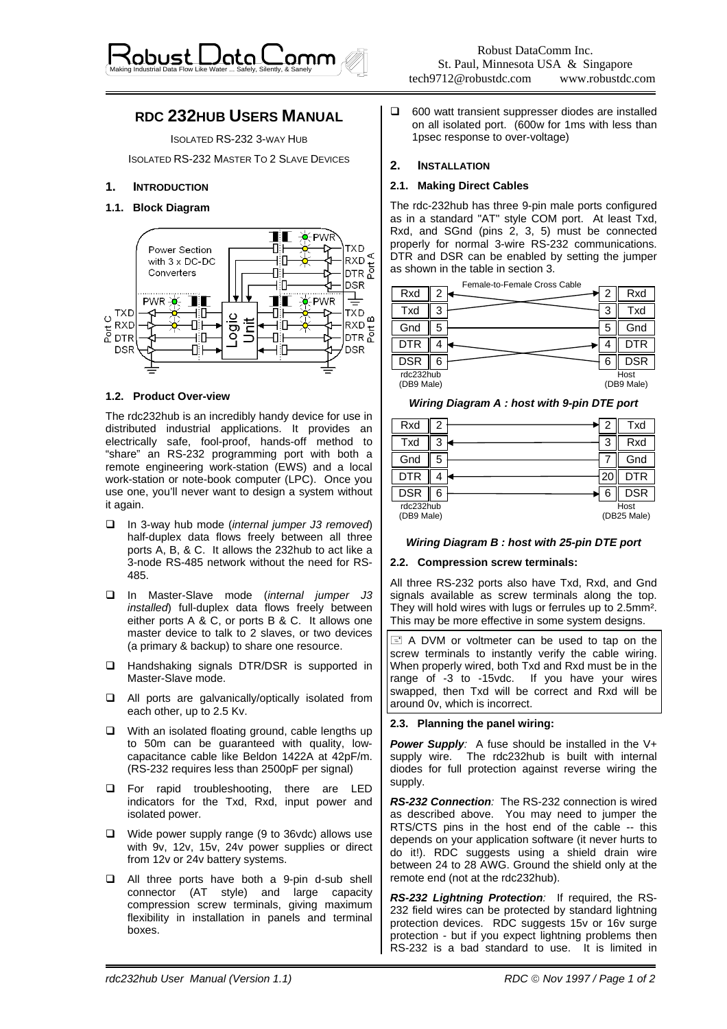

# **RDC 232HUB USERS MANUAL**

ISOLATED RS-232 3-WAY HUB

ISOLATED RS-232 MASTER TO 2 SLAVE DEVICES

# **1. INTRODUCTION**

# **1.1. Block Diagram**



## **1.2. Product Over-view**

The rdc232hub is an incredibly handy device for use in distributed industrial applications. It provides an electrically safe, fool-proof, hands-off method to "share" an RS-232 programming port with both a remote engineering work-station (EWS) and a local work-station or note-book computer (LPC). Once you use one, you'll never want to design a system without it again.

- In 3-way hub mode (*internal jumper J3 removed*) half-duplex data flows freely between all three ports A, B, & C. It allows the 232hub to act like a 3-node RS-485 network without the need for RS-485.
- In Master-Slave mode (*internal jumper J3 installed*) full-duplex data flows freely between either ports A & C, or ports B & C. It allows one master device to talk to 2 slaves, or two devices (a primary & backup) to share one resource.
- □ Handshaking signals DTR/DSR is supported in Master-Slave mode.
- All ports are galvanically/optically isolated from each other, up to 2.5 Kv.
- $\Box$  With an isolated floating ground, cable lengths up to 50m can be guaranteed with quality, lowcapacitance cable like Beldon 1422A at 42pF/m. (RS-232 requires less than 2500pF per signal)
- **E** For rapid troubleshooting, there are LED indicators for the Txd, Rxd, input power and isolated power.
- Wide power supply range (9 to 36vdc) allows use with 9v, 12v, 15v, 24v power supplies or direct from 12v or 24v battery systems.
- All three ports have both a 9-pin d-sub shell connector (AT style) and large capacity compression screw terminals, giving maximum flexibility in installation in panels and terminal boxes.

 $\Box$  600 watt transient suppresser diodes are installed on all isolated port. (600w for 1ms with less than 1psec response to over-voltage)

# **2. INSTALLATION**

## **2.1. Making Direct Cables**

The rdc-232hub has three 9-pin male ports configured as in a standard "AT" style COM port. At least Txd, Rxd, and SGnd (pins 2, 3, 5) must be connected properly for normal 3-wire RS-232 communications. DTR and DSR can be enabled by setting the jumper as shown in the table in section 3.



*Wiring Diagram A : host with 9-pin DTE port* 

| Rxd                     |   |   | Txd                 |
|-------------------------|---|---|---------------------|
| Txd                     |   | 3 | Rxd                 |
| Gnd                     |   |   | Gnd                 |
| <b>DTR</b>              |   | ∠ | ТR                  |
| <b>DSR</b>              | 6 |   | <b>DSR</b>          |
| rdc232hub<br>(DB9 Male) |   |   | Host<br>(DB25 Male) |

# *Wiring Diagram B : host with 25-pin DTE port*

#### **2.2. Compression screw terminals:**

All three RS-232 ports also have Txd, Rxd, and Gnd signals available as screw terminals along the top. They will hold wires with lugs or ferrules up to 2.5mm². This may be more effective in some system designs.

 $\equiv$  A DVM or voltmeter can be used to tap on the screw terminals to instantly verify the cable wiring. When properly wired, both Txd and Rxd must be in the range of -3 to -15vdc. If you have your wires swapped, then Txd will be correct and Rxd will be around 0v, which is incorrect.

# **2.3. Planning the panel wiring:**

**Power Supply:** A fuse should be installed in the V+ supply wire. The rdc232hub is built with internal diodes for full protection against reverse wiring the supply.

*RS-232 Connection:* The RS-232 connection is wired as described above. You may need to jumper the RTS/CTS pins in the host end of the cable -- this depends on your application software (it never hurts to do it!). RDC suggests using a shield drain wire between 24 to 28 AWG. Ground the shield only at the remote end (not at the rdc232hub).

*RS-232 Lightning Protection:* If required, the RS-232 field wires can be protected by standard lightning protection devices. RDC suggests 15v or 16v surge protection - but if you expect lightning problems then RS-232 is a bad standard to use. It is limited in